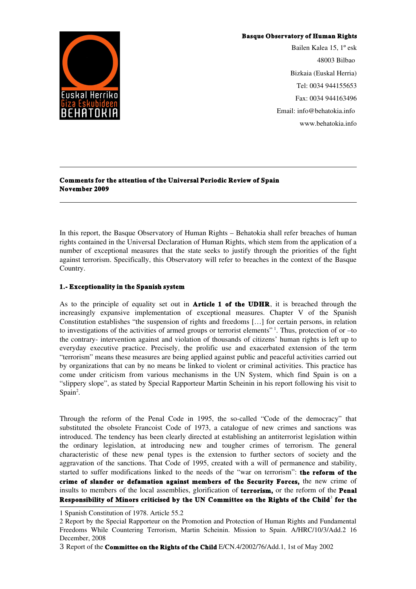#### Basque Observatory of Human Rights



Bailen Kalea 15, 1º esk 48003 Bilbao Bizkaia (Euskal Herria) Tel: 0034 944155653 Fax: 0034 944163496 Email: info@behatokia.info www.behatokia.info

## Comments for the attention of the Universal Periodic Review of Spain November 2009

In this report, the Basque Observatory of Human Rights – Behatokia shall refer breaches of human rights contained in the Universal Declaration of Human Rights, which stem from the application of a number of exceptional measures that the state seeks to justify through the priorities of the fight against terrorism. Specifically, this Observatory will refer to breaches in the context of the Basque Country.

## 1. Exceptionality in the Spanish system

As to the principle of equality set out in **Article 1 of the UDHR**, it is breached through the increasingly expansive implementation of exceptional measures. Chapter V of the Spanish Constitution establishes "the suspension of rights and freedoms […] for certain persons, in relation to investigations of the activities of armed groups or terrorist elements"<sup>[1](#page-0-0)</sup>. Thus, protection of or -to the contrary intervention against and violation of thousands of citizens' human rights is left up to everyday executive practice. Precisely, the prolific use and exacerbated extension of the term "terrorism" means these measures are being applied against public and peaceful activities carried out by organizations that can by no means be linked to violent or criminal activities. This practice has come under criticism from various mechanisms in the UN System, which find Spain is on a "slippery slope", as stated by Special Rapporteur Martin Scheinin in his report following his visit to  $Span<sup>2</sup>$  $Span<sup>2</sup>$  $Span<sup>2</sup>$ .

Through the reform of the Penal Code in 1995, the so-called "Code of the democracy" that substituted the obsolete Francoist Code of 1973, a catalogue of new crimes and sanctions was introduced. The tendency has been clearly directed at establishing an antiterrorist legislation within the ordinary legislation, at introducing new and tougher crimes of terrorism. The general characteristic of these new penal types is the extension to further sectors of society and the aggravation of the sanctions. That Code of 1995, created with a will of permanence and stability, started to suffer modifications linked to the needs of the "war on terrorism": **the reform of the** crime of slander or defamation against members of the Security Forces, the new crime of insults to members of the local assemblies, glorification of **terrorism**, or the reform of the **Penal** Responsibility of Minors criticised by the UN Committee on the Rights of the Child<sup>[3](#page-0-2)</sup> for the

<span id="page-0-0"></span><sup>1</sup> Spanish Constitution of 1978. Article 55.2

<span id="page-0-1"></span><sup>2</sup> Report by the Special Rapporteur on the Promotion and Protection of Human Rights and Fundamental Freedoms While Countering Terrorism, Martin Scheinin. Mission to Spain. A/HRC/10/3/Add.2 16 December, 2008

<span id="page-0-2"></span><sup>3</sup> Report of the **Committee on the Rights of the Child** E/CN.4/2002/76/Add.1, 1st of May 2002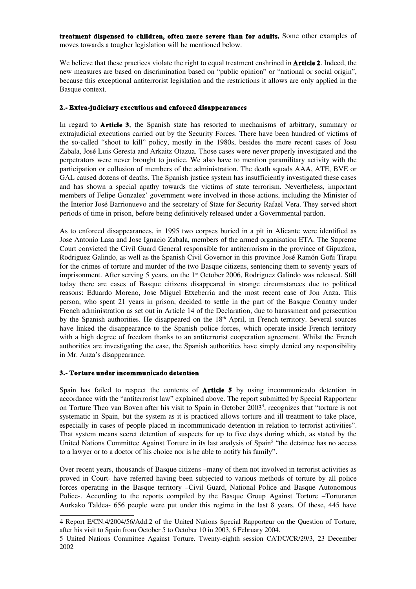treatment dispensed to children, often more severe than for adults. Some other examples of moves towards a tougher legislation will be mentioned below.

We believe that these practices violate the right to equal treatment enshrined in **Article 2**. Indeed, the new measures are based on discrimination based on "public opinion" or "national or social origin", because this exceptional antiterrorist legislation and the restrictions it allows are only applied in the Basque context.

### 2.- Extra-judiciary executions and enforced disappearances

In regard to **Article 3**, the Spanish state has resorted to mechanisms of arbitrary, summary or extrajudicial executions carried out by the Security Forces. There have been hundred of victims of the socalled "shoot to kill" policy, mostly in the 1980s, besides the more recent cases of Josu Zabala, José Luis Geresta and Arkaitz Otazua. Those cases were never properly investigated and the perpetrators were never brought to justice. We also have to mention paramilitary activity with the participation or collusion of members of the administration. The death squads AAA, ATE, BVE or GAL caused dozens of deaths. The Spanish justice system has insufficiently investigated these cases and has shown a special apathy towards the victims of state terrorism. Nevertheless, important members of Felipe Gonzalez' government were involved in those actions, including the Minister of the Interior José Barrionuevo and the secretary of State for Security Rafael Vera. They served short periods of time in prison, before being definitively released under a Governmental pardon.

As to enforced disappearances, in 1995 two corpses buried in a pit in Alicante were identified as Jose Antonio Lasa and Jose Ignacio Zabala, members of the armed organisation ETA. The Supreme Court convicted the Civil Guard General responsible for antiterrorism in the province of Gipuzkoa, Rodriguez Galindo, as well as the Spanish Civil Governor in this province José Ramón Goñi Tirapu for the crimes of torture and murder of the two Basque citizens, sentencing them to seventy years of imprisonment. After serving 5 years, on the 1<sup>st</sup> October 2006, Rodriguez Galindo was released. Still today there are cases of Basque citizens disappeared in strange circumstances due to political reasons: Eduardo Moreno, Jose Miguel Etxeberria and the most recent case of Jon Anza. This person, who spent 21 years in prison, decided to settle in the part of the Basque Country under French administration as set out in Article 14 of the Declaration, due to harassment and persecution by the Spanish authorities. He disappeared on the 18<sup>th</sup> April, in French territory. Several sources have linked the disappearance to the Spanish police forces, which operate inside French territory with a high degree of freedom thanks to an antiterrorist cooperation agreement. Whilst the French authorities are investigating the case, the Spanish authorities have simply denied any responsibility in Mr. Anza's disappearance.

#### 3. Torture under incommunicado detention

Spain has failed to respect the contents of **Article 5** by using incommunicado detention in accordance with the "antiterrorist law" explained above. The report submitted by Special Rapporteur on Torture Theo van Boven after his visit to Spain in October 2003<sup>[4](#page-1-0)</sup>, recognizes that "torture is not systematic in Spain, but the system as it is practiced allows torture and ill treatment to take place, especially in cases of people placed in incommunicado detention in relation to terrorist activities". That system means secret detention of suspects for up to five days during which, as stated by the United Nations Committee Against Torture in its last analysis of Spain<sup>[5](#page-1-1)</sup> "the detainee has no access to a lawyer or to a doctor of his choice nor is he able to notify his family".

Over recent years, thousands of Basque citizens –many of them not involved in terrorist activities as proved in Court- have referred having been subjected to various methods of torture by all police forces operating in the Basque territory –Civil Guard, National Police and Basque Autonomous Police-. According to the reports compiled by the Basque Group Against Torture –Torturaren Aurkako Taldea- 656 people were put under this regime in the last 8 years. Of these, 445 have

<span id="page-1-0"></span><sup>4</sup> Report E/CN.4/2004/56/Add.2 of the United Nations Special Rapporteur on the Question of Torture, after his visit to Spain from October 5 to October 10 in 2003, 6 February 2004.

<span id="page-1-1"></span><sup>5</sup> United Nations Committee Against Torture. Twenty-eighth session CAT/C/CR/29/3, 23 December 2002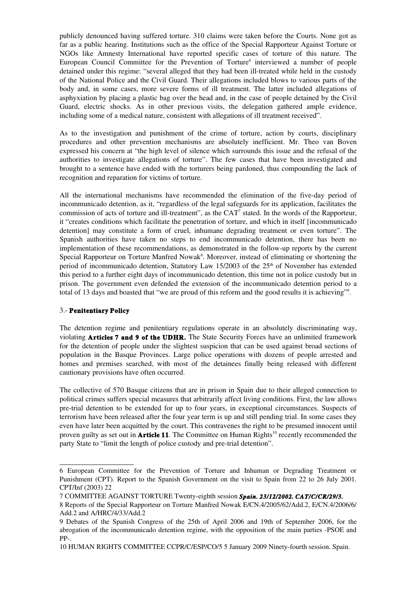publicly denounced having suffered torture. 310 claims were taken before the Courts. None got as far as a public hearing. Institutions such as the office of the Special Rapporteur Against Torture or NGOs like Amnesty International have reported specific cases of torture of this nature. The European Council Committee for the Prevention of Torture<sup>[6](#page-2-0)</sup> interviewed a number of people detained under this regime: "several alleged that they had been ill-treated while held in the custody of the National Police and the Civil Guard. Their allegations included blows to various parts of the body and, in some cases, more severe forms of ill treatment. The latter included allegations of asphyxiation by placing a plastic bag over the head and, in the case of people detained by the Civil Guard, electric shocks. As in other previous visits, the delegation gathered ample evidence, including some of a medical nature, consistent with allegations of ill treatment received".

As to the investigation and punishment of the crime of torture, action by courts, disciplinary procedures and other prevention mechanisms are absolutely inefficient. Mr. Theo van Boven expressed his concern at "the high level of silence which surrounds this issue and the refusal of the authorities to investigate allegations of torture". The few cases that have been investigated and brought to a sentence have ended with the torturers being pardoned, thus compounding the lack of recognition and reparation for victims of torture.

All the international mechanisms have recommended the elimination of the five-day period of incommunicado detention, as it, "regardless of the legal safeguards for its application, facilitates the commission of acts of torture and ill-treatment", as the  $CAT^7$  $CAT^7$  stated. In the words of the Rapporteur, it "creates conditions which facilitate the penetration of torture, and which in itself [incommunicado detention] may constitute a form of cruel, inhumane degrading treatment or even torture". The Spanish authorities have taken no steps to end incommunicado detention, there has been no implementation of these recommendations, as demonstrated in the follow-up reports by the current Special Rapporteur on Torture Manfred Nowak<sup>[8](#page-2-2)</sup>. Moreover, instead of eliminating or shortening the period of incommunicado detention, Statutory Law  $15/2003$  of the  $25<sup>th</sup>$  of November has extended this period to a further eight days of incommunicado detention, this time not in police custody but in prison. The government even defended the extension of the incommunicado detention period to a total of 13 days and boasted that "we are proud of this reform and the good results it is achieving"[9](#page-2-3) .

## 3. Penitentiary Policy

The detention regime and penitentiary regulations operate in an absolutely discriminating way, violating **Articles 7 and 9 of the UDHR.** The State Security Forces have an unlimited framework for the detention of people under the slightest suspicion that can be used against broad sections of population in the Basque Provinces. Large police operations with dozens of people arrested and homes and premises searched, with most of the detainees finally being released with different cautionary provisions have often occurred.

The collective of 570 Basque citizens that are in prison in Spain due to their alleged connection to political crimes suffers special measures that arbitrarily affect living conditions. First, the law allows pre-trial detention to be extended for up to four years, in exceptional circumstances. Suspects of terrorism have been released after the four year term is up and still pending trial. In some cases they even have later been acquitted by the court. This contravenes the right to be presumed innocent until proven guilty as set out in **Article 11**. The Committee on Human Rights<sup>[10](#page-2-4)</sup> recently recommended the party State to "limit the length of police custody and pre-trial detention".

<span id="page-2-0"></span><sup>6</sup> European Committee for the Prevention of Torture and Inhuman or Degrading Treatment or Punishment (CPT). Report to the Spanish Government on the visit to Spain from 22 to 26 July 2001. CPT/Inf (2003) 22

<span id="page-2-1"></span><sup>7</sup> COMMITTEE AGAINST TORTURE Twentyeighth session *Spain. 23/12/2002. CAT/C/CR/29/3.* 

<span id="page-2-2"></span><sup>8</sup> Reports of the Special Rapporteur on Torture Manfred Nowak E/CN.4/2005/62/Add.2, E/CN.4/2006/6/ Add.2 and A/HRC/4/33/Add.2

<span id="page-2-3"></span><sup>9</sup> Debates of the Spanish Congress of the 25th of April 2006 and 19th of September 2006, for the abrogation of the incommunicado detention regime, with the opposition of the main parties -PSOE and PP.

<span id="page-2-4"></span><sup>10</sup> HUMAN RIGHTS COMMITTEE CCPR/C/ESP/CO/5 5 January 2009 Ninety-fourth session. Spain.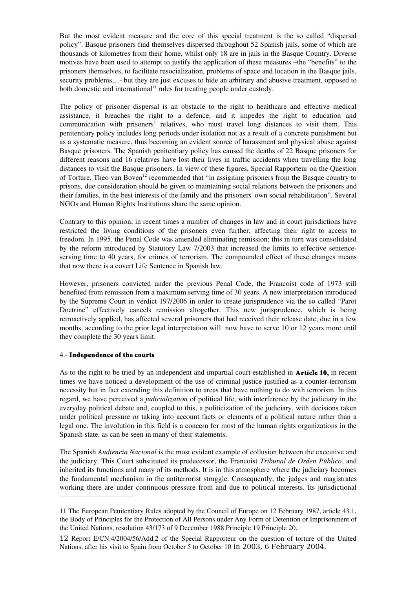But the most evident measure and the core of this special treatment is the so called "dispersal policy". Basque prisoners find themselves dispersed throughout 52 Spanish jails, some of which are thousands of kilometres from their home, whilst only 18 are in jails in the Basque Country. Diverse motives have been used to attempt to justify the application of these measures –the "benefits" to the prisoners themselves, to facilitate resocialization, problems of space and location in the Basque jails, security problems...- but they are just excuses to hide an arbitrary and abusive treatment, opposed to both domestic and international<sup>[11](#page-3-0)</sup> rules for treating people under custody.

The policy of prisoner dispersal is an obstacle to the right to healthcare and effective medical assistance, it breaches the right to a defence, and it impedes the right to education and communication with prisoners' relatives, who must travel long distances to visit them. This penitentiary policy includes long periods under isolation not as a result of a concrete punishment but as a systematic measure, thus becoming an evident source of harassment and physical abuse against Basque prisoners. The Spanish penitentiary policy has caused the deaths of 22 Basque prisoners for different reasons and 16 relatives have lost their lives in traffic accidents when travelling the long distances to visit the Basque prisoners. In view of these figures, Special Rapporteur on the Question of Torture, Theo van Boven<sup>[12](#page-3-1)</sup> recommended that "in assigning prisoners from the Basque country to prisons, due consideration should be given to maintaining social relations between the prisoners and their families, in the best interests of the family and the prisoners' own social rehabilitation". Several NGOs and Human Rights Institutions share the same opinion.

Contrary to this opinion, in recent times a number of changes in law and in court jurisdictions have restricted the living conditions of the prisoners even further, affecting their right to access to freedom. In 1995, the Penal Code was amended eliminating remission; this in turn was consolidated by the reform introduced by Statutory Law 7/2003 that increased the limits to effective sentenceserving time to 40 years, for crimes of terrorism. The compounded effect of these changes means that now there is a covert Life Sentence in Spanish law.

However, prisoners convicted under the previous Penal Code, the Francoist code of 1973 still benefited from remission from a maximum serving time of 30 years. A new interpretation introduced by the Supreme Court in verdict 197/2006 in order to create jurisprudence via the so called "Parot Doctrine" effectively cancels remission altogether. This new jurisprudence, which is being retroactively applied, has affected several prisoners that had received their release date, due in a few months, according to the prior legal interpretation will now have to serve 10 or 12 years more until they complete the 30 years limit.

## 4. Independence of the courts

As to the right to be tried by an independent and impartial court established in **Article 10,** in recent times we have noticed a development of the use of criminal justice justified as a counter-terrorism necessity but in fact extending this definition to areas that have nothing to do with terrorism. In this regard, we have perceived a *judicialization* of political life, with interference by the judiciary in the everyday political debate and, coupled to this, a politicization of the judiciary, with decisions taken under political pressure or taking into account facts or elements of a political nature rather than a legal one. The involution in this field is a concern for most of the human rights organizations in the Spanish state, as can be seen in many of their statements.

The Spanish *Audiencia Nacional* is the most evident example of collusion between the executive and the judiciary. This Court substituted its predecessor, the Francoist *Tribunal de Orden Público*, and inherited its functions and many of its methods. It is in this atmosphere where the judiciary becomes the fundamental mechanism in the antiterrorist struggle. Consequently, the judges and magistrates working there are under continuous pressure from and due to political interests. Its jurisdictional

<span id="page-3-0"></span><sup>11</sup> The European Penitentiary Rules adopted by the Council of Europe on 12 February 1987, article 43.1, the Body of Principles for the Protection of All Persons under Any Form of Detention or Imprisonment of the United Nations, resolution 43/173 of 9 December 1988 Principle 19 Principle 20.

<span id="page-3-1"></span><sup>12</sup> Report E/CN.4/2004/56/Add.2 of the Special Rapporteur on the question of torture of the United Nations, after his visit to Spain from October 5 to October 10 in 2003, 6 February 2004.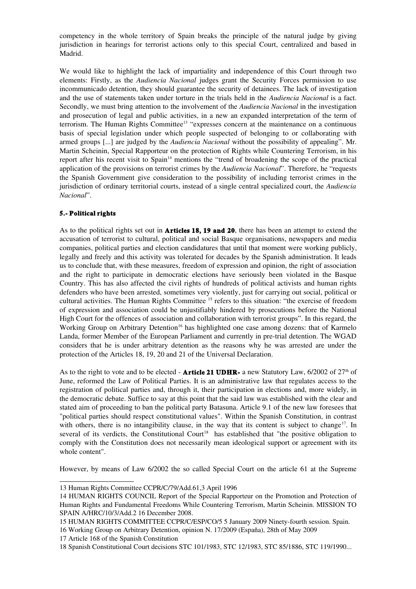competency in the whole territory of Spain breaks the principle of the natural judge by giving jurisdiction in hearings for terrorist actions only to this special Court, centralized and based in Madrid.

We would like to highlight the lack of impartiality and independence of this Court through two elements: Firstly, as the *Audiencia Nacional* judges grant the Security Forces permission to use incommunicado detention, they should guarantee the security of detainees. The lack of investigation and the use of statements taken under torture in the trials held in the *Audiencia Nacional* is a fact. Secondly, we must bring attention to the involvement of the *Audiencia Nacional* in the investigation and prosecution of legal and public activities, in a new an expanded interpretation of the term of terrorism. The Human Rights Committee<sup>[13](#page-4-0)</sup> "expresses concern at the maintenance on a continuous basis of special legislation under which people suspected of belonging to or collaborating with armed groups [...] are judged by the *Audiencia Nacional* without the possibility of appealing". Mr. Martin Scheinin, Special Rapporteur on the protection of Rights while Countering Terrorism, in his report after his recent visit to Spain<sup>[14](#page-4-1)</sup> mentions the "trend of broadening the scope of the practical application of the provisions on terrorist crimes by the *Audiencia Nacional*". Therefore, he "requests the Spanish Government give consideration to the possibility of including terrorist crimes in the jurisdiction of ordinary territorial courts, instead of a single central specialized court, the *Audiencia Nacional*".

# 5. Political rights

As to the political rights set out in **Articles 18, 19 and 20**, there has been an attempt to extend the accusation of terrorist to cultural, political and social Basque organisations, newspapers and media companies, political parties and election candidatures that until that moment were working publicly, legally and freely and this activity was tolerated for decades by the Spanish administration. It leads us to conclude that, with these measures, freedom of expression and opinion, the right of association and the right to participate in democratic elections have seriously been violated in the Basque Country. This has also affected the civil rights of hundreds of political activists and human rights defenders who have been arrested, sometimes very violently, just for carrying out social, political or cultural activities. The Human Rights Committee <sup>[15](#page-4-2)</sup> refers to this situation: "the exercise of freedom of expression and association could be unjustifiably hindered by prosecutions before the National High Court for the offences of association and collaboration with terrorist groups". In this regard, the Working Group on Arbitrary Detention<sup>[16](#page-4-3)</sup> has highlighted one case among dozens: that of Karmelo Landa, former Member of the European Parliament and currently in pre-trial detention. The WGAD considers that he is under arbitrary detention as the reasons why he was arrested are under the protection of the Articles 18, 19, 20 and 21 of the Universal Declaration.

As to the right to vote and to be elected - **Article 21 UDHR**- a new Statutory Law,  $6/2002$  of  $27<sup>th</sup>$  of June, reformed the Law of Political Parties. It is an administrative law that regulates access to the registration of political parties and, through it, their participation in elections and, more widely, in the democratic debate. Suffice to say at this point that the said law was established with the clear and stated aim of proceeding to ban the political party Batasuna. Article 9.1 of the new law foresees that "political parties should respect constitutional values". Within the Spanish Constitution, in contrast with others, there is no intangibility clause, in the way that its content is subject to change<sup>[17](#page-4-4)</sup>. In several of its verdicts, the Constitutional Court<sup>[18](#page-4-5)</sup> has established that "the positive obligation to comply with the Constitution does not necessarily mean ideological support or agreement with its whole content".

However, by means of Law 6/2002 the so called Special Court on the article 61 at the Supreme

<span id="page-4-0"></span><sup>13</sup> Human Rights Committee CCPR/C/79/Add.61,3 April 1996

<span id="page-4-1"></span><sup>14</sup> HUMAN RIGHTS COUNCIL Report of the Special Rapporteur on the Promotion and Protection of Human Rights and Fundamental Freedoms While Countering Terrorism, Martin Scheinin. MISSION TO SPAIN A/HRC/10/3/Add.2 16 December 2008.

<span id="page-4-2"></span><sup>15</sup> HUMAN RIGHTS COMMITTEE CCPR/C/ESP/CO/5 5 January 2009 Ninetyfourth session. Spain.

<span id="page-4-3"></span><sup>16</sup> Working Group on Arbitrary Detention, opinion N. 17/2009 (España), 28th of May 2009

<span id="page-4-4"></span><sup>17</sup> Article 168 of the Spanish Constitution

<span id="page-4-5"></span><sup>18</sup> Spanish Constitutional Court decisions STC 101/1983, STC 12/1983, STC 85/1886, STC 119/1990...